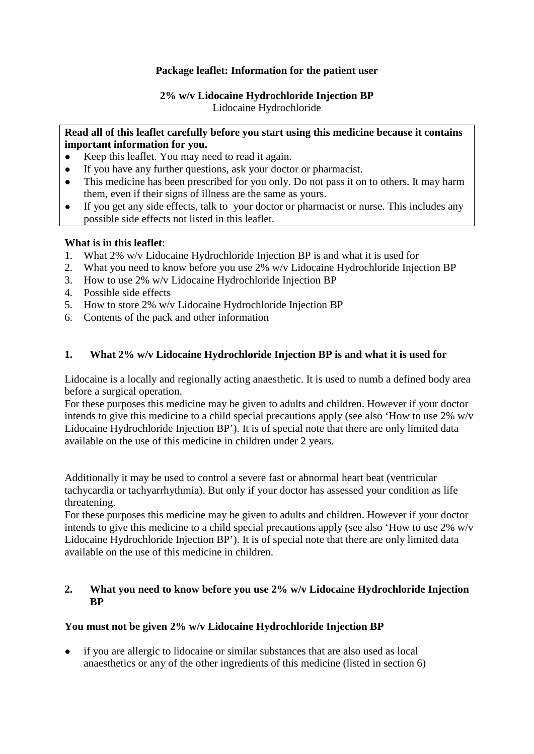## **Package leaflet: Information for the patient user**

# **2% w/v Lidocaine Hydrochloride Injection BP**

Lidocaine Hydrochloride

## **Read all of this leaflet carefully before you start using this medicine because it contains important information for you.**

- Keep this leaflet. You may need to read it again.
- If you have any further questions, ask your doctor or pharmacist.
- This medicine has been prescribed for you only. Do not pass it on to others. It may harm them, even if their signs of illness are the same as yours.
- If you get any side effects, talk to your doctor or pharmacist or nurse. This includes any possible side effects not listed in this leaflet.

## **What is in this leaflet**:

- 1. What 2% w/v Lidocaine Hydrochloride Injection BP is and what it is used for
- 2. What you need to know before you use 2% w/v Lidocaine Hydrochloride Injection BP
- 3. How to use 2% w/v Lidocaine Hydrochloride Injection BP
- 4. Possible side effects
- 5. How to store 2% w/v Lidocaine Hydrochloride Injection BP
- 6. Contents of the pack and other information

## **1. What 2% w/v Lidocaine Hydrochloride Injection BP is and what it is used for**

Lidocaine is a locally and regionally acting anaesthetic. It is used to numb a defined body area before a surgical operation.

For these purposes this medicine may be given to adults and children. However if your doctor intends to give this medicine to a child special precautions apply (see also 'How to use 2% w/v Lidocaine Hydrochloride Injection BP'). It is of special note that there are only limited data available on the use of this medicine in children under 2 years.

Additionally it may be used to control a severe fast or abnormal heart beat (ventricular tachycardia or tachyarrhythmia). But only if your doctor has assessed your condition as life threatening.

For these purposes this medicine may be given to adults and children. However if your doctor intends to give this medicine to a child special precautions apply (see also 'How to use 2% w/v Lidocaine Hydrochloride Injection BP'). It is of special note that there are only limited data available on the use of this medicine in children.

#### **2. What you need to know before you use 2% w/v Lidocaine Hydrochloride Injection BP**

## **You must not be given 2% w/v Lidocaine Hydrochloride Injection BP**

● if you are allergic to lidocaine or similar substances that are also used as local anaesthetics or any of the other ingredients of this medicine (listed in section 6)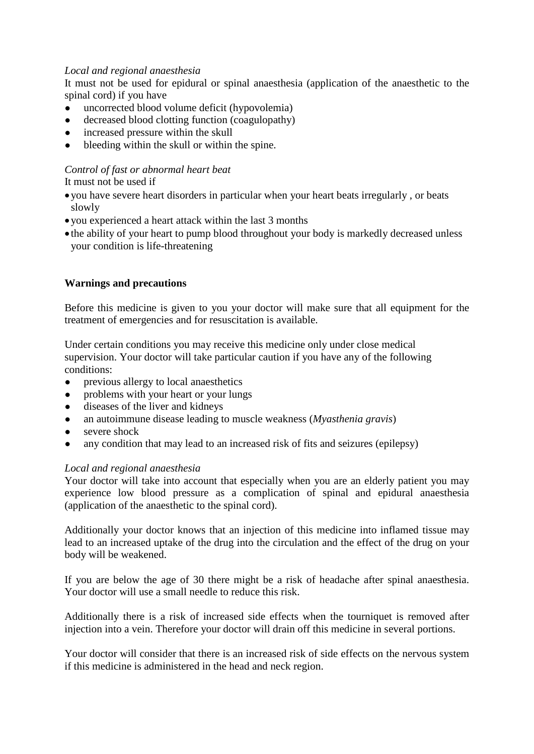## *Local and regional anaesthesia*

It must not be used for epidural or spinal anaesthesia (application of the anaesthetic to the spinal cord) if you have

- uncorrected blood volume deficit (hypovolemia)
- decreased blood clotting function (coagulopathy)
- increased pressure within the skull
- bleeding within the skull or within the spine.

## *Control of fast or abnormal heart beat*

## It must not be used if

- you have severe heart disorders in particular when your heart beats irregularly , or beats slowly
- you experienced a heart attack within the last 3 months
- the ability of your heart to pump blood throughout your body is markedly decreased unless your condition is life-threatening

## **Warnings and precautions**

Before this medicine is given to you your doctor will make sure that all equipment for the treatment of emergencies and for resuscitation is available.

Under certain conditions you may receive this medicine only under close medical supervision. Your doctor will take particular caution if you have any of the following conditions:

- previous allergy to local anaesthetics
- problems with your heart or your lungs
- diseases of the liver and kidneys
- an autoimmune disease leading to muscle weakness (*Myasthenia gravis*)
- severe shock
- any condition that may lead to an increased risk of fits and seizures (epilepsy)

## *Local and regional anaesthesia*

Your doctor will take into account that especially when you are an elderly patient you may experience low blood pressure as a complication of spinal and epidural anaesthesia (application of the anaesthetic to the spinal cord).

Additionally your doctor knows that an injection of this medicine into inflamed tissue may lead to an increased uptake of the drug into the circulation and the effect of the drug on your body will be weakened.

If you are below the age of 30 there might be a risk of headache after spinal anaesthesia. Your doctor will use a small needle to reduce this risk.

Additionally there is a risk of increased side effects when the tourniquet is removed after injection into a vein. Therefore your doctor will drain off this medicine in several portions.

Your doctor will consider that there is an increased risk of side effects on the nervous system if this medicine is administered in the head and neck region.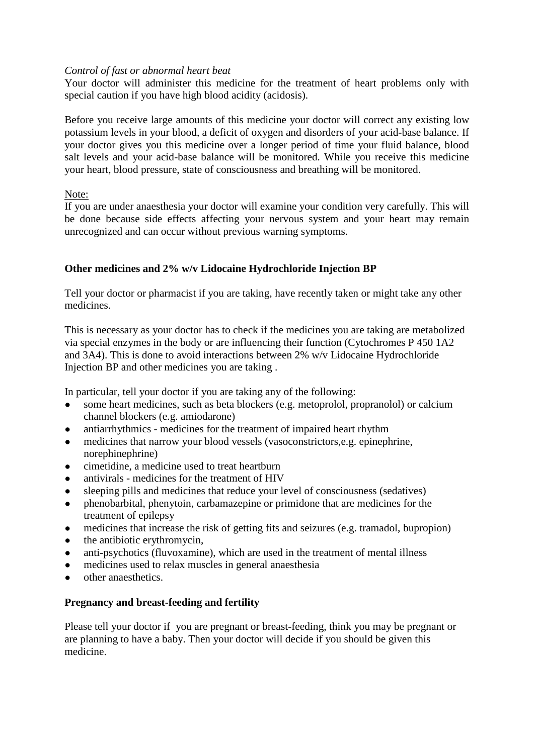#### *Control of fast or abnormal heart beat*

Your doctor will administer this medicine for the treatment of heart problems only with special caution if you have high blood acidity (acidosis).

Before you receive large amounts of this medicine your doctor will correct any existing low potassium levels in your blood, a deficit of oxygen and disorders of your acid-base balance. If your doctor gives you this medicine over a longer period of time your fluid balance, blood salt levels and your acid-base balance will be monitored. While you receive this medicine your heart, blood pressure, state of consciousness and breathing will be monitored.

## Note:

If you are under anaesthesia your doctor will examine your condition very carefully. This will be done because side effects affecting your nervous system and your heart may remain unrecognized and can occur without previous warning symptoms.

## **Other medicines and 2% w/v Lidocaine Hydrochloride Injection BP**

Tell your doctor or pharmacist if you are taking, have recently taken or might take any other medicines.

This is necessary as your doctor has to check if the medicines you are taking are metabolized via special enzymes in the body or are influencing their function (Cytochromes P 450 1A2 and 3A4). This is done to avoid interactions between 2% w/v Lidocaine Hydrochloride Injection BP and other medicines you are taking .

In particular, tell your doctor if you are taking any of the following:

- some heart medicines, such as beta blockers (e.g. metoprolol, propranolol) or calcium channel blockers (e.g. amiodarone)
- antiarrhythmics medicines for the treatment of impaired heart rhythm
- medicines that narrow your blood vessels (vasoconstrictors, e.g. epinephrine, norephinephrine)
- cimetidine, a medicine used to treat heartburn
- antivirals medicines for the treatment of HIV
- sleeping pills and medicines that reduce your level of consciousness (sedatives)
- phenobarbital, phenytoin, carbamazepine or primidone that are medicines for the treatment of epilepsy
- medicines that increase the risk of getting fits and seizures (e.g. tramadol, bupropion)
- $\bullet$  the antibiotic erythromycin,
- anti-psychotics (fluvoxamine), which are used in the treatment of mental illness
- medicines used to relax muscles in general anaesthesia
- other anaesthetics.

## **Pregnancy and breast-feeding and fertility**

Please tell your doctor if you are pregnant or breast-feeding, think you may be pregnant or are planning to have a baby. Then your doctor will decide if you should be given this medicine.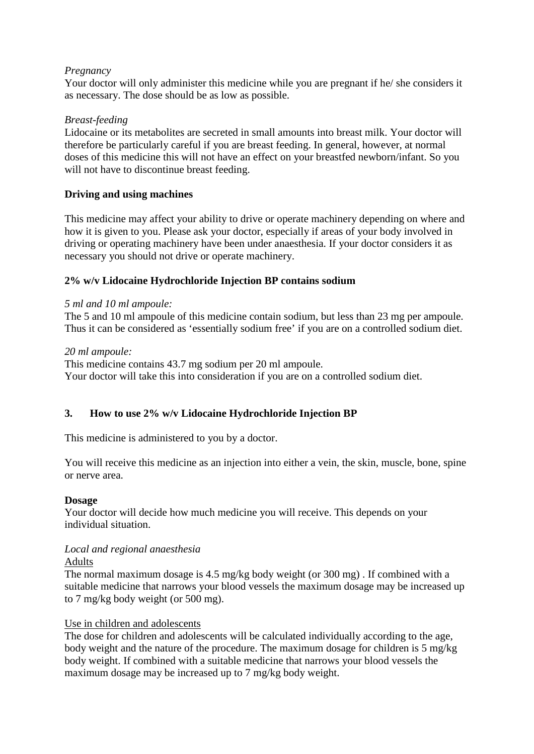## *Pregnancy*

Your doctor will only administer this medicine while you are pregnant if he/ she considers it as necessary. The dose should be as low as possible.

## *Breast-feeding*

Lidocaine or its metabolites are secreted in small amounts into breast milk. Your doctor will therefore be particularly careful if you are breast feeding. In general, however, at normal doses of this medicine this will not have an effect on your breastfed newborn/infant. So you will not have to discontinue breast feeding.

## **Driving and using machines**

This medicine may affect your ability to drive or operate machinery depending on where and how it is given to you. Please ask your doctor, especially if areas of your body involved in driving or operating machinery have been under anaesthesia. If your doctor considers it as necessary you should not drive or operate machinery.

#### **2% w/v Lidocaine Hydrochloride Injection BP contains sodium**

#### *5 ml and 10 ml ampoule:*

The 5 and 10 ml ampoule of this medicine contain sodium, but less than 23 mg per ampoule. Thus it can be considered as 'essentially sodium free' if you are on a controlled sodium diet.

#### *20 ml ampoule:*

This medicine contains 43.7 mg sodium per 20 ml ampoule. Your doctor will take this into consideration if you are on a controlled sodium diet.

## **3. How to use 2% w/v Lidocaine Hydrochloride Injection BP**

This medicine is administered to you by a doctor.

You will receive this medicine as an injection into either a vein, the skin, muscle, bone, spine or nerve area.

#### **Dosage**

Your doctor will decide how much medicine you will receive. This depends on your individual situation.

## *Local and regional anaesthesia*

#### Adults

The normal maximum dosage is 4.5 mg/kg body weight (or 300 mg) . If combined with a suitable medicine that narrows your blood vessels the maximum dosage may be increased up to 7 mg/kg body weight (or 500 mg).

#### Use in children and adolescents

The dose for children and adolescents will be calculated individually according to the age, body weight and the nature of the procedure. The maximum dosage for children is 5 mg/kg body weight. If combined with a suitable medicine that narrows your blood vessels the maximum dosage may be increased up to 7 mg/kg body weight.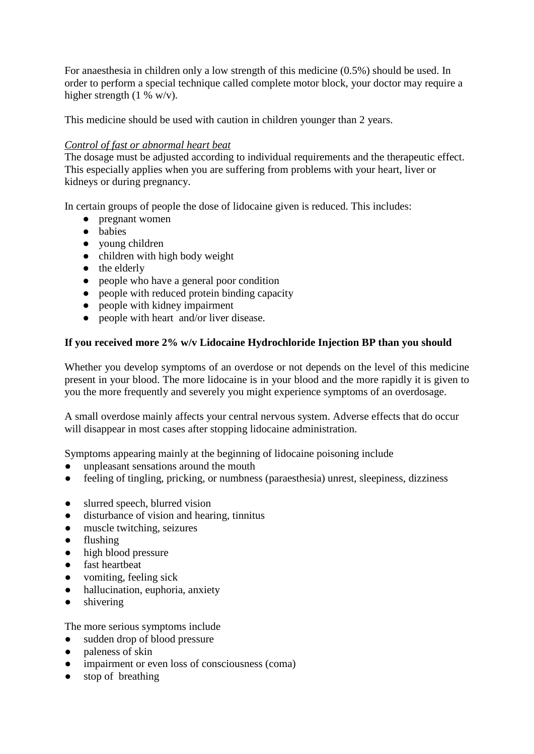For anaesthesia in children only a low strength of this medicine (0.5%) should be used. In order to perform a special technique called complete motor block, your doctor may require a higher strength  $(1 %)$  w/v).

This medicine should be used with caution in children younger than 2 years.

#### *Control of fast or abnormal heart beat*

The dosage must be adjusted according to individual requirements and the therapeutic effect. This especially applies when you are suffering from problems with your heart, liver or kidneys or during pregnancy.

In certain groups of people the dose of lidocaine given is reduced. This includes:

- *●* pregnant women
- *●* babies
- *●* young children
- *●* children with high body weight
- *●* the elderly
- *●* people who have a general poor condition
- *●* people with reduced protein binding capacity
- *●* people with kidney impairment
- *●* people with heart and/or liver disease.

## **If you received more 2% w/v Lidocaine Hydrochloride Injection BP than you should**

Whether you develop symptoms of an overdose or not depends on the level of this medicine present in your blood. The more lidocaine is in your blood and the more rapidly it is given to you the more frequently and severely you might experience symptoms of an overdosage.

A small overdose mainly affects your central nervous system. Adverse effects that do occur will disappear in most cases after stopping lidocaine administration.

Symptoms appearing mainly at the beginning of lidocaine poisoning include

- unpleasant sensations around the mouth
- *●* feeling of tingling, pricking, or numbness (paraesthesia) unrest, sleepiness, dizziness
- slurred speech, blurred vision
- disturbance of vision and hearing, tinnitus
- *●* muscle twitching, seizures
- *●* flushing
- *●* high blood pressure
- *●* fast heartbeat
- *●* vomiting, feeling sick
- *●* hallucination, euphoria, anxiety
- *●* shivering

The more serious symptoms include

- *●* sudden drop of blood pressure
- *●* paleness of skin
- *●* impairment or even loss of consciousness (coma)
- stop of breathing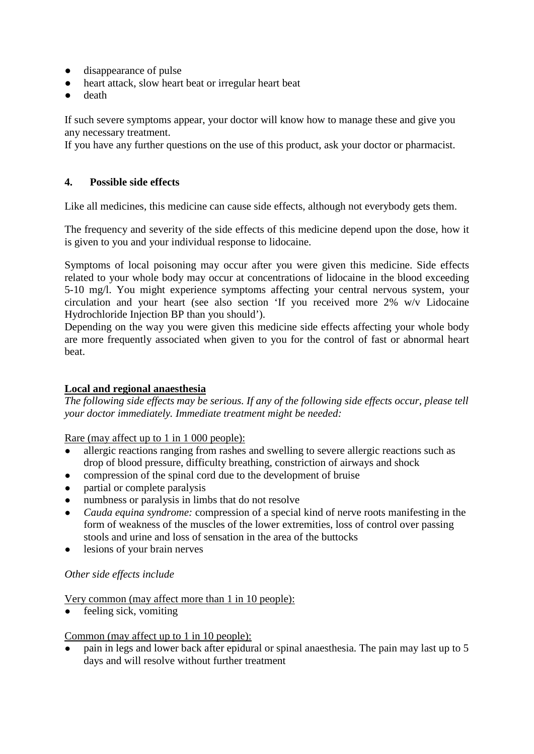- *●* disappearance of pulse
- heart attack, slow heart beat or irregular heart beat
- *●* death

If such severe symptoms appear, your doctor will know how to manage these and give you any necessary treatment.

If you have any further questions on the use of this product, ask your doctor or pharmacist.

## **4. Possible side effects**

Like all medicines, this medicine can cause side effects, although not everybody gets them.

The frequency and severity of the side effects of this medicine depend upon the dose, how it is given to you and your individual response to lidocaine.

Symptoms of local poisoning may occur after you were given this medicine. Side effects related to your whole body may occur at concentrations of lidocaine in the blood exceeding 5-10 mg/l. You might experience symptoms affecting your central nervous system, your circulation and your heart (see also section 'If you received more 2% w/v Lidocaine Hydrochloride Injection BP than you should').

Depending on the way you were given this medicine side effects affecting your whole body are more frequently associated when given to you for the control of fast or abnormal heart beat.

## **Local and regional anaesthesia**

*The following side effects may be serious. If any of the following side effects occur, please tell your doctor immediately. Immediate treatment might be needed:*

Rare (may affect up to 1 in 1 000 people):

- allergic reactions ranging from rashes and swelling to severe allergic reactions such as drop of blood pressure, difficulty breathing, constriction of airways and shock
- compression of the spinal cord due to the development of bruise
- partial or complete paralysis
- numbness or paralysis in limbs that do not resolve
- *Cauda equina syndrome:* compression of a special kind of nerve roots manifesting in the form of weakness of the muscles of the lower extremities, loss of control over passing stools and urine and loss of sensation in the area of the buttocks
- lesions of your brain nerves

#### *Other side effects include*

Very common (may affect more than 1 in 10 people):

• feeling sick, vomiting

#### Common (may affect up to 1 in 10 people):

pain in legs and lower back after epidural or spinal anaesthesia. The pain may last up to 5 days and will resolve without further treatment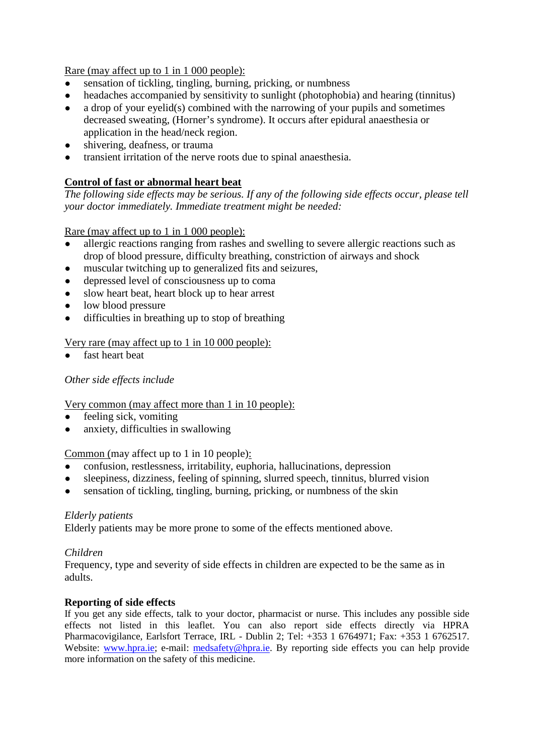Rare (may affect up to 1 in 1 000 people):

- sensation of tickling, tingling, burning, pricking, or numbness
- headaches accompanied by sensitivity to sunlight (photophobia) and hearing (tinnitus)
- $\bullet$  a drop of your eyelid(s) combined with the narrowing of your pupils and sometimes decreased sweating, (Horner's syndrome). It occurs after epidural anaesthesia or application in the head/neck region.
- shivering, deafness, or trauma
- transient irritation of the nerve roots due to spinal anaesthesia.

## **Control of fast or abnormal heart beat**

*The following side effects may be serious. If any of the following side effects occur, please tell your doctor immediately. Immediate treatment might be needed:*

Rare (may affect up to 1 in 1 000 people):

- allergic reactions ranging from rashes and swelling to severe allergic reactions such as drop of blood pressure, difficulty breathing, constriction of airways and shock
- muscular twitching up to generalized fits and seizures,
- depressed level of consciousness up to coma
- slow heart beat, heart block up to hear arrest
- low blood pressure
- difficulties in breathing up to stop of breathing

#### Very rare (may affect up to 1 in 10 000 people):

fast heart beat

## *Other side effects include*

Very common (may affect more than 1 in 10 people):

- feeling sick, vomiting
- anxiety, difficulties in swallowing

Common (may affect up to 1 in 10 people):

- confusion, restlessness, irritability, euphoria, hallucinations, depression
- sleepiness, dizziness, feeling of spinning, slurred speech, tinnitus, blurred vision
- sensation of tickling, tingling, burning, pricking, or numbness of the skin

#### *Elderly patients*

Elderly patients may be more prone to some of the effects mentioned above.

#### *Children*

Frequency, type and severity of side effects in children are expected to be the same as in adults.

#### **Reporting of side effects**

If you get any side effects, talk to your doctor, pharmacist or nurse. This includes any possible side effects not listed in this leaflet. You can also report side effects directly via HPRA Pharmacovigilance, Earlsfort Terrace, IRL - Dublin 2; Tel: +353 1 6764971; Fax: +353 1 6762517. Website: [www.hpra.ie;](http://www.hpra.ie/) e-mail: [medsafety@hpra.ie.](mailto:medsafety@hpra.ie) By reporting side effects you can help provide more information on the safety of this medicine.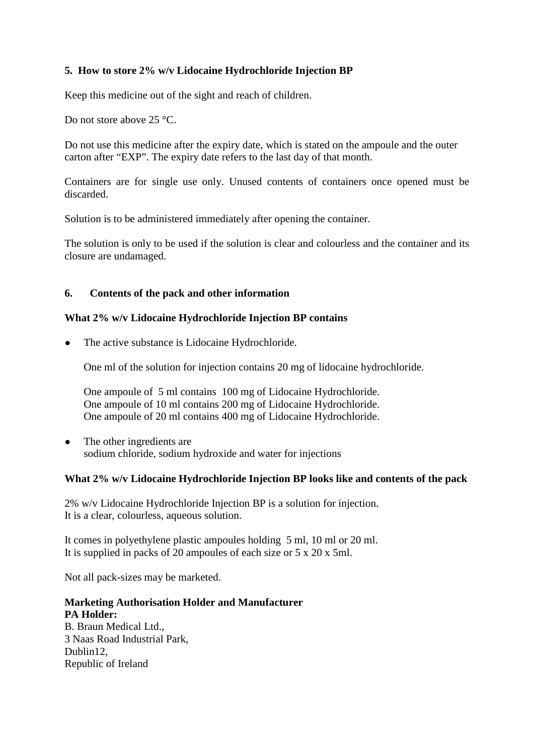## **5. How to store 2% w/v Lidocaine Hydrochloride Injection BP**

Keep this medicine out of the sight and reach of children.

Do not store above 25 °C.

Do not use this medicine after the expiry date, which is stated on the ampoule and the outer carton after "EXP". The expiry date refers to the last day of that month.

Containers are for single use only. Unused contents of containers once opened must be discarded.

Solution is to be administered immediately after opening the container.

The solution is only to be used if the solution is clear and colourless and the container and its closure are undamaged.

#### **6. Contents of the pack and other information**

#### **What 2% w/v Lidocaine Hydrochloride Injection BP contains**

The active substance is Lidocaine Hydrochloride.

One ml of the solution for injection contains 20 mg of lidocaine hydrochloride.

One ampoule of 5 ml contains 100 mg of Lidocaine Hydrochloride. One ampoule of 10 ml contains 200 mg of Lidocaine Hydrochloride. One ampoule of 20 ml contains 400 mg of Lidocaine Hydrochloride.

• The other ingredients are sodium chloride, sodium hydroxide and water for injections

## **What 2% w/v Lidocaine Hydrochloride Injection BP looks like and contents of the pack**

2% w/v Lidocaine Hydrochloride Injection BP is a solution for injection. It is a clear, colourless, aqueous solution.

It comes in polyethylene plastic ampoules holding 5 ml, 10 ml or 20 ml. It is supplied in packs of 20 ampoules of each size or 5 x 20 x 5ml.

Not all pack-sizes may be marketed.

## **Marketing Authorisation Holder and Manufacturer PA Holder:**

B. Braun Medical Ltd., 3 Naas Road Industrial Park, Dublin12, Republic of Ireland